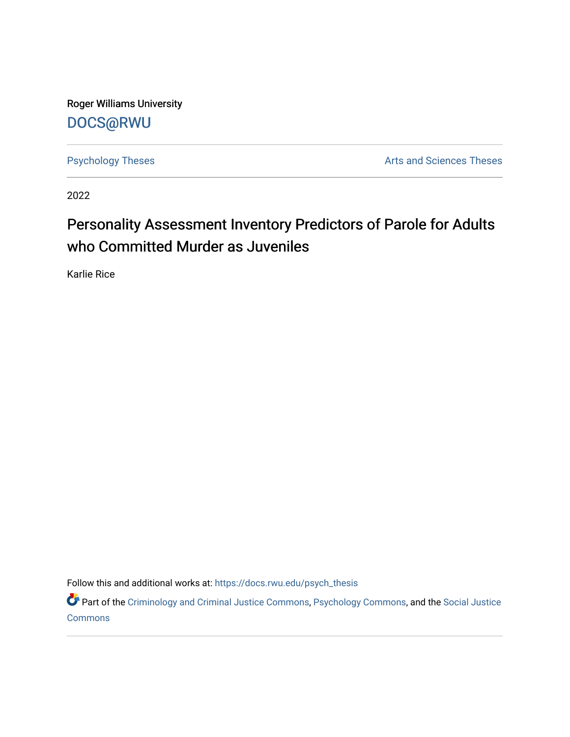Roger Williams University [DOCS@RWU](https://docs.rwu.edu/)

[Psychology Theses](https://docs.rwu.edu/psych_thesis) **Arts** and Sciences Theses

2022

# Personality Assessment Inventory Predictors of Parole for Adults who Committed Murder as Juveniles

Karlie Rice

Follow this and additional works at: [https://docs.rwu.edu/psych\\_thesis](https://docs.rwu.edu/psych_thesis?utm_source=docs.rwu.edu%2Fpsych_thesis%2F26&utm_medium=PDF&utm_campaign=PDFCoverPages) 

Part of the [Criminology and Criminal Justice Commons](https://network.bepress.com/hgg/discipline/367?utm_source=docs.rwu.edu%2Fpsych_thesis%2F26&utm_medium=PDF&utm_campaign=PDFCoverPages), [Psychology Commons](https://network.bepress.com/hgg/discipline/404?utm_source=docs.rwu.edu%2Fpsych_thesis%2F26&utm_medium=PDF&utm_campaign=PDFCoverPages), and the [Social Justice](https://network.bepress.com/hgg/discipline/1432?utm_source=docs.rwu.edu%2Fpsych_thesis%2F26&utm_medium=PDF&utm_campaign=PDFCoverPages)  **[Commons](https://network.bepress.com/hgg/discipline/1432?utm_source=docs.rwu.edu%2Fpsych_thesis%2F26&utm_medium=PDF&utm_campaign=PDFCoverPages)**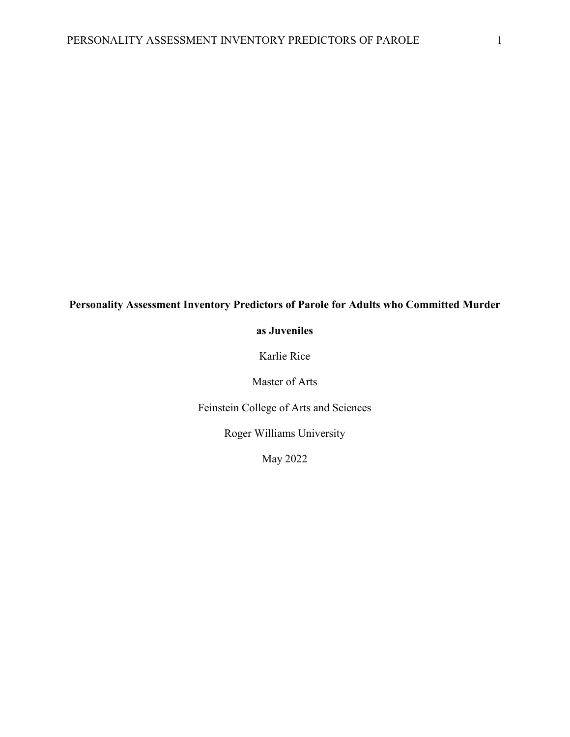### **Personality Assessment Inventory Predictors of Parole for Adults who Committed Murder**

#### **as Juveniles**

Karlie Rice

Master of Arts

Feinstein College of Arts and Sciences

Roger Williams University

May 2022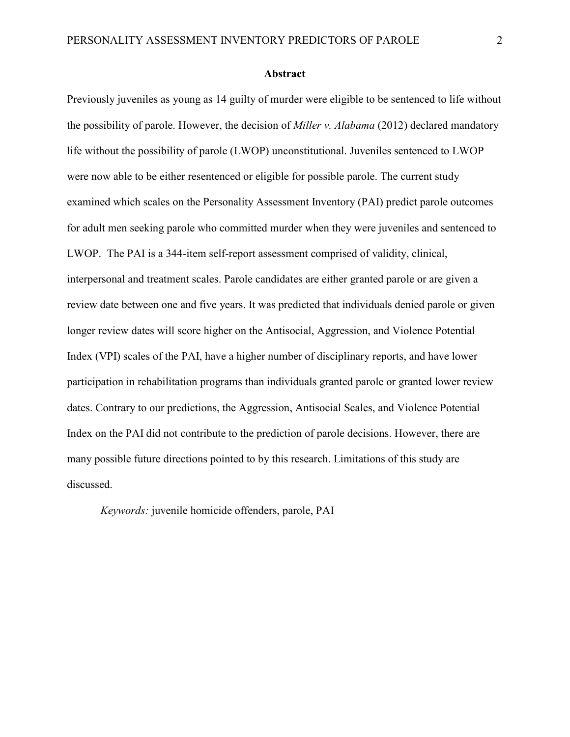#### **Abstract**

Previously juveniles as young as 14 guilty of murder were eligible to be sentenced to life without the possibility of parole. However, the decision of *Miller v. Alabama* (2012) declared mandatory life without the possibility of parole (LWOP) unconstitutional. Juveniles sentenced to LWOP were now able to be either resentenced or eligible for possible parole. The current study examined which scales on the Personality Assessment Inventory (PAI) predict parole outcomes for adult men seeking parole who committed murder when they were juveniles and sentenced to LWOP. The PAI is a 344-item self-report assessment comprised of validity, clinical, interpersonal and treatment scales. Parole candidates are either granted parole or are given a review date between one and five years. It was predicted that individuals denied parole or given longer review dates will score higher on the Antisocial, Aggression, and Violence Potential Index (VPI) scales of the PAI, have a higher number of disciplinary reports, and have lower participation in rehabilitation programs than individuals granted parole or granted lower review dates. Contrary to our predictions, the Aggression, Antisocial Scales, and Violence Potential Index on the PAI did not contribute to the prediction of parole decisions. However, there are many possible future directions pointed to by this research. Limitations of this study are discussed.

*Keywords:* juvenile homicide offenders, parole, PAI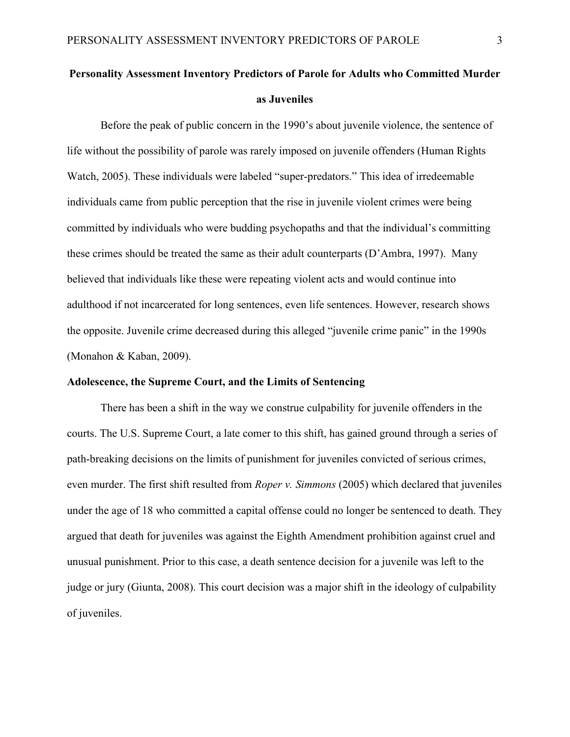## **Personality Assessment Inventory Predictors of Parole for Adults who Committed Murder as Juveniles**

Before the peak of public concern in the 1990's about juvenile violence, the sentence of life without the possibility of parole was rarely imposed on juvenile offenders (Human Rights Watch, 2005). These individuals were labeled "super-predators." This idea of irredeemable individuals came from public perception that the rise in juvenile violent crimes were being committed by individuals who were budding psychopaths and that the individual's committing these crimes should be treated the same as their adult counterparts (D'Ambra, 1997). Many believed that individuals like these were repeating violent acts and would continue into adulthood if not incarcerated for long sentences, even life sentences. However, research shows the opposite. Juvenile crime decreased during this alleged "juvenile crime panic" in the 1990s (Monahon & Kaban, 2009).

#### **Adolescence, the Supreme Court, and the Limits of Sentencing**

There has been a shift in the way we construe culpability for juvenile offenders in the courts. The U.S. Supreme Court, a late comer to this shift, has gained ground through a series of path-breaking decisions on the limits of punishment for juveniles convicted of serious crimes, even murder. The first shift resulted from *Roper v. Simmons* (2005) which declared that juveniles under the age of 18 who committed a capital offense could no longer be sentenced to death. They argued that death for juveniles was against the Eighth Amendment prohibition against cruel and unusual punishment. Prior to this case, a death sentence decision for a juvenile was left to the judge or jury (Giunta, 2008). This court decision was a major shift in the ideology of culpability of juveniles.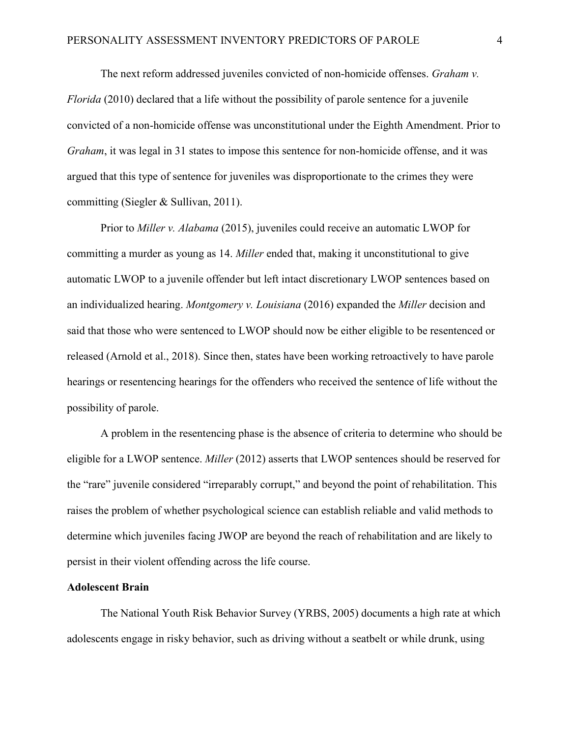The next reform addressed juveniles convicted of non-homicide offenses. *Graham v. Florida* (2010) declared that a life without the possibility of parole sentence for a juvenile convicted of a non-homicide offense was unconstitutional under the Eighth Amendment. Prior to *Graham*, it was legal in 31 states to impose this sentence for non-homicide offense, and it was argued that this type of sentence for juveniles was disproportionate to the crimes they were committing (Siegler & Sullivan, 2011).

Prior to *Miller v. Alabama* (2015), juveniles could receive an automatic LWOP for committing a murder as young as 14. *Miller* ended that, making it unconstitutional to give automatic LWOP to a juvenile offender but left intact discretionary LWOP sentences based on an individualized hearing. *Montgomery v. Louisiana* (2016) expanded the *Miller* decision and said that those who were sentenced to LWOP should now be either eligible to be resentenced or released (Arnold et al., 2018). Since then, states have been working retroactively to have parole hearings or resentencing hearings for the offenders who received the sentence of life without the possibility of parole.

A problem in the resentencing phase is the absence of criteria to determine who should be eligible for a LWOP sentence. *Miller* (2012) asserts that LWOP sentences should be reserved for the "rare" juvenile considered "irreparably corrupt," and beyond the point of rehabilitation. This raises the problem of whether psychological science can establish reliable and valid methods to determine which juveniles facing JWOP are beyond the reach of rehabilitation and are likely to persist in their violent offending across the life course.

#### **Adolescent Brain**

The National Youth Risk Behavior Survey (YRBS, 2005) documents a high rate at which adolescents engage in risky behavior, such as driving without a seatbelt or while drunk, using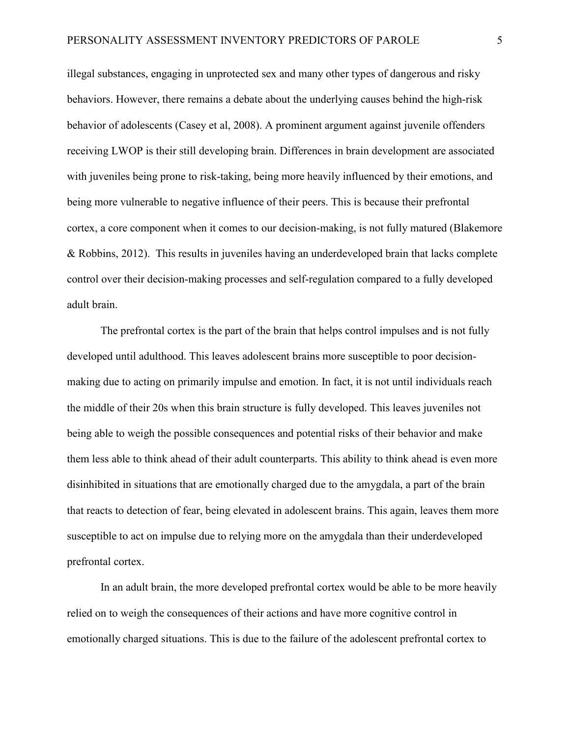illegal substances, engaging in unprotected sex and many other types of dangerous and risky behaviors. However, there remains a debate about the underlying causes behind the high-risk behavior of adolescents (Casey et al, 2008). A prominent argument against juvenile offenders receiving LWOP is their still developing brain. Differences in brain development are associated with juveniles being prone to risk-taking, being more heavily influenced by their emotions, and being more vulnerable to negative influence of their peers. This is because their prefrontal cortex, a core component when it comes to our decision-making, is not fully matured (Blakemore & Robbins, 2012). This results in juveniles having an underdeveloped brain that lacks complete control over their decision-making processes and self-regulation compared to a fully developed adult brain.

The prefrontal cortex is the part of the brain that helps control impulses and is not fully developed until adulthood. This leaves adolescent brains more susceptible to poor decisionmaking due to acting on primarily impulse and emotion. In fact, it is not until individuals reach the middle of their 20s when this brain structure is fully developed. This leaves juveniles not being able to weigh the possible consequences and potential risks of their behavior and make them less able to think ahead of their adult counterparts. This ability to think ahead is even more disinhibited in situations that are emotionally charged due to the amygdala, a part of the brain that reacts to detection of fear, being elevated in adolescent brains. This again, leaves them more susceptible to act on impulse due to relying more on the amygdala than their underdeveloped prefrontal cortex.

In an adult brain, the more developed prefrontal cortex would be able to be more heavily relied on to weigh the consequences of their actions and have more cognitive control in emotionally charged situations. This is due to the failure of the adolescent prefrontal cortex to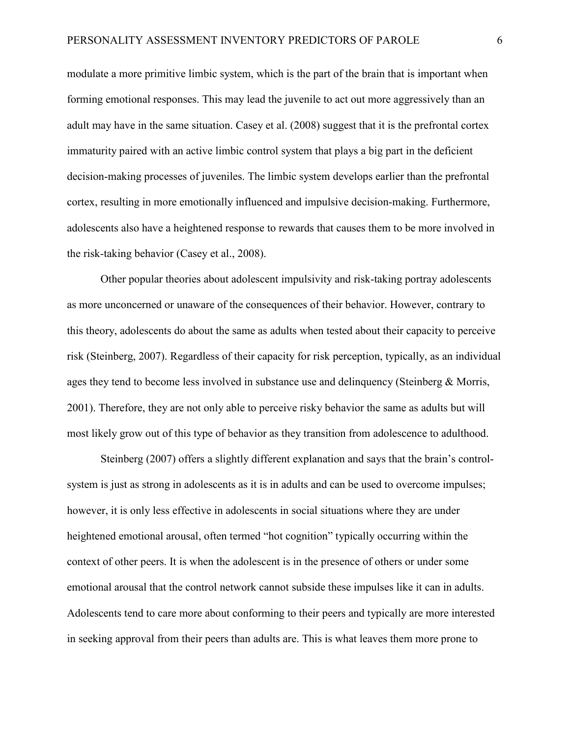modulate a more primitive limbic system, which is the part of the brain that is important when forming emotional responses. This may lead the juvenile to act out more aggressively than an adult may have in the same situation. Casey et al. (2008) suggest that it is the prefrontal cortex immaturity paired with an active limbic control system that plays a big part in the deficient decision-making processes of juveniles. The limbic system develops earlier than the prefrontal cortex, resulting in more emotionally influenced and impulsive decision-making. Furthermore, adolescents also have a heightened response to rewards that causes them to be more involved in the risk-taking behavior (Casey et al., 2008).

Other popular theories about adolescent impulsivity and risk-taking portray adolescents as more unconcerned or unaware of the consequences of their behavior. However, contrary to this theory, adolescents do about the same as adults when tested about their capacity to perceive risk (Steinberg, 2007). Regardless of their capacity for risk perception, typically, as an individual ages they tend to become less involved in substance use and delinquency (Steinberg & Morris, 2001). Therefore, they are not only able to perceive risky behavior the same as adults but will most likely grow out of this type of behavior as they transition from adolescence to adulthood.

Steinberg (2007) offers a slightly different explanation and says that the brain's controlsystem is just as strong in adolescents as it is in adults and can be used to overcome impulses; however, it is only less effective in adolescents in social situations where they are under heightened emotional arousal, often termed "hot cognition" typically occurring within the context of other peers. It is when the adolescent is in the presence of others or under some emotional arousal that the control network cannot subside these impulses like it can in adults. Adolescents tend to care more about conforming to their peers and typically are more interested in seeking approval from their peers than adults are. This is what leaves them more prone to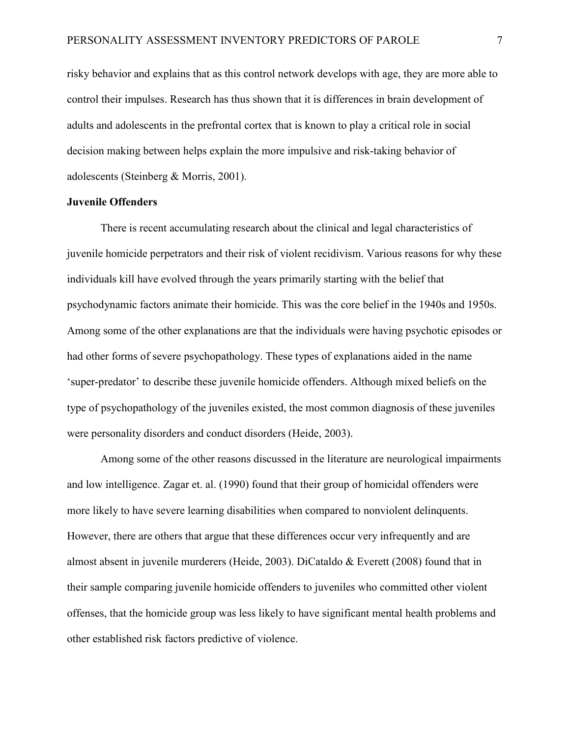risky behavior and explains that as this control network develops with age, they are more able to control their impulses. Research has thus shown that it is differences in brain development of adults and adolescents in the prefrontal cortex that is known to play a critical role in social decision making between helps explain the more impulsive and risk-taking behavior of adolescents (Steinberg & Morris, 2001).

#### **Juvenile Offenders**

There is recent accumulating research about the clinical and legal characteristics of juvenile homicide perpetrators and their risk of violent recidivism. Various reasons for why these individuals kill have evolved through the years primarily starting with the belief that psychodynamic factors animate their homicide. This was the core belief in the 1940s and 1950s. Among some of the other explanations are that the individuals were having psychotic episodes or had other forms of severe psychopathology. These types of explanations aided in the name 'super-predator' to describe these juvenile homicide offenders. Although mixed beliefs on the type of psychopathology of the juveniles existed, the most common diagnosis of these juveniles were personality disorders and conduct disorders (Heide, 2003).

Among some of the other reasons discussed in the literature are neurological impairments and low intelligence. Zagar et. al. (1990) found that their group of homicidal offenders were more likely to have severe learning disabilities when compared to nonviolent delinquents. However, there are others that argue that these differences occur very infrequently and are almost absent in juvenile murderers (Heide, 2003). DiCataldo & Everett (2008) found that in their sample comparing juvenile homicide offenders to juveniles who committed other violent offenses, that the homicide group was less likely to have significant mental health problems and other established risk factors predictive of violence.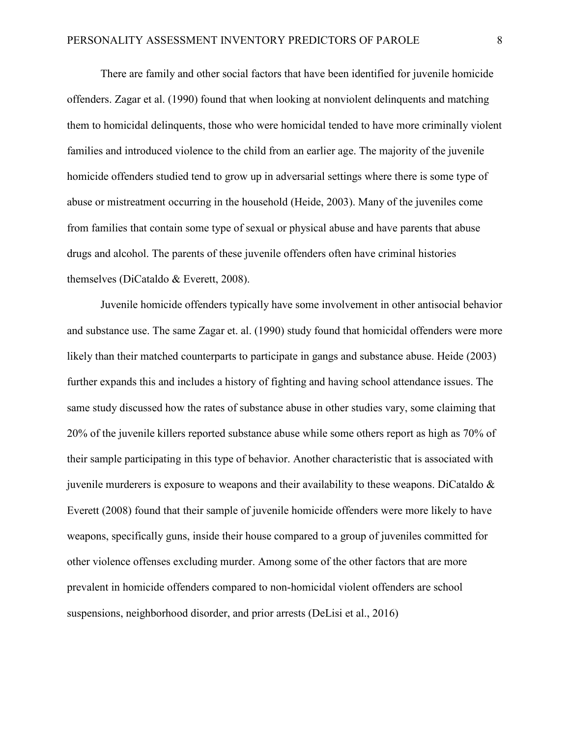There are family and other social factors that have been identified for juvenile homicide offenders. Zagar et al. (1990) found that when looking at nonviolent delinquents and matching them to homicidal delinquents, those who were homicidal tended to have more criminally violent families and introduced violence to the child from an earlier age. The majority of the juvenile homicide offenders studied tend to grow up in adversarial settings where there is some type of abuse or mistreatment occurring in the household (Heide, 2003). Many of the juveniles come from families that contain some type of sexual or physical abuse and have parents that abuse drugs and alcohol. The parents of these juvenile offenders often have criminal histories themselves (DiCataldo & Everett, 2008).

Juvenile homicide offenders typically have some involvement in other antisocial behavior and substance use. The same Zagar et. al. (1990) study found that homicidal offenders were more likely than their matched counterparts to participate in gangs and substance abuse. Heide (2003) further expands this and includes a history of fighting and having school attendance issues. The same study discussed how the rates of substance abuse in other studies vary, some claiming that 20% of the juvenile killers reported substance abuse while some others report as high as 70% of their sample participating in this type of behavior. Another characteristic that is associated with juvenile murderers is exposure to weapons and their availability to these weapons. DiCataldo  $\&$ Everett (2008) found that their sample of juvenile homicide offenders were more likely to have weapons, specifically guns, inside their house compared to a group of juveniles committed for other violence offenses excluding murder. Among some of the other factors that are more prevalent in homicide offenders compared to non-homicidal violent offenders are school suspensions, neighborhood disorder, and prior arrests (DeLisi et al., 2016)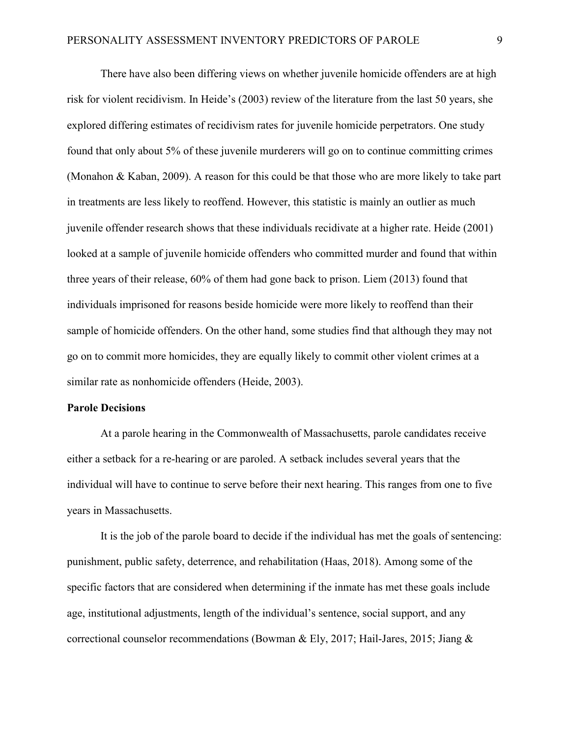There have also been differing views on whether juvenile homicide offenders are at high risk for violent recidivism. In Heide's (2003) review of the literature from the last 50 years, she explored differing estimates of recidivism rates for juvenile homicide perpetrators. One study found that only about 5% of these juvenile murderers will go on to continue committing crimes (Monahon & Kaban, 2009). A reason for this could be that those who are more likely to take part in treatments are less likely to reoffend. However, this statistic is mainly an outlier as much juvenile offender research shows that these individuals recidivate at a higher rate. Heide (2001) looked at a sample of juvenile homicide offenders who committed murder and found that within three years of their release, 60% of them had gone back to prison. Liem (2013) found that individuals imprisoned for reasons beside homicide were more likely to reoffend than their sample of homicide offenders. On the other hand, some studies find that although they may not go on to commit more homicides, they are equally likely to commit other violent crimes at a similar rate as nonhomicide offenders (Heide, 2003).

#### **Parole Decisions**

At a parole hearing in the Commonwealth of Massachusetts, parole candidates receive either a setback for a re-hearing or are paroled. A setback includes several years that the individual will have to continue to serve before their next hearing. This ranges from one to five years in Massachusetts.

It is the job of the parole board to decide if the individual has met the goals of sentencing: punishment, public safety, deterrence, and rehabilitation (Haas, 2018). Among some of the specific factors that are considered when determining if the inmate has met these goals include age, institutional adjustments, length of the individual's sentence, social support, and any correctional counselor recommendations (Bowman & Ely, 2017; Hail-Jares, 2015; Jiang &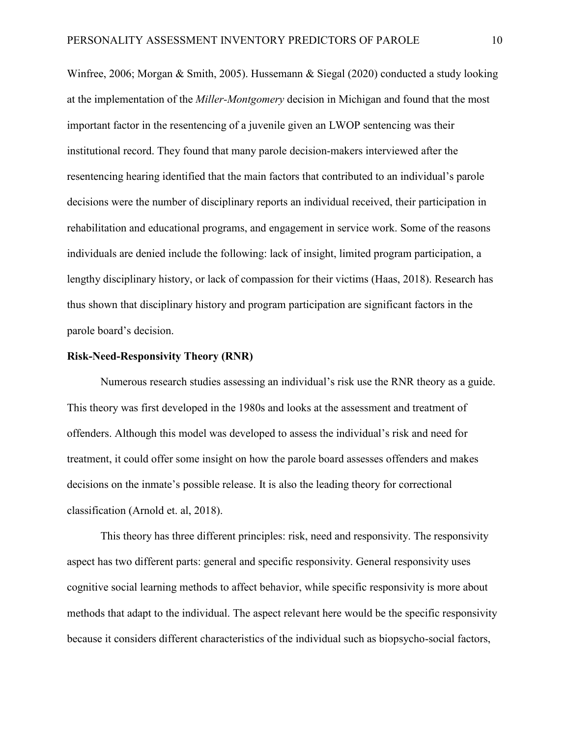Winfree, 2006; Morgan & Smith, 2005). Hussemann & Siegal (2020) conducted a study looking at the implementation of the *Miller-Montgomery* decision in Michigan and found that the most important factor in the resentencing of a juvenile given an LWOP sentencing was their institutional record. They found that many parole decision-makers interviewed after the resentencing hearing identified that the main factors that contributed to an individual's parole decisions were the number of disciplinary reports an individual received, their participation in rehabilitation and educational programs, and engagement in service work. Some of the reasons individuals are denied include the following: lack of insight, limited program participation, a lengthy disciplinary history, or lack of compassion for their victims (Haas, 2018). Research has thus shown that disciplinary history and program participation are significant factors in the parole board's decision.

#### **Risk-Need-Responsivity Theory (RNR)**

Numerous research studies assessing an individual's risk use the RNR theory as a guide. This theory was first developed in the 1980s and looks at the assessment and treatment of offenders. Although this model was developed to assess the individual's risk and need for treatment, it could offer some insight on how the parole board assesses offenders and makes decisions on the inmate's possible release. It is also the leading theory for correctional classification (Arnold et. al, 2018).

This theory has three different principles: risk, need and responsivity. The responsivity aspect has two different parts: general and specific responsivity. General responsivity uses cognitive social learning methods to affect behavior, while specific responsivity is more about methods that adapt to the individual. The aspect relevant here would be the specific responsivity because it considers different characteristics of the individual such as biopsycho-social factors,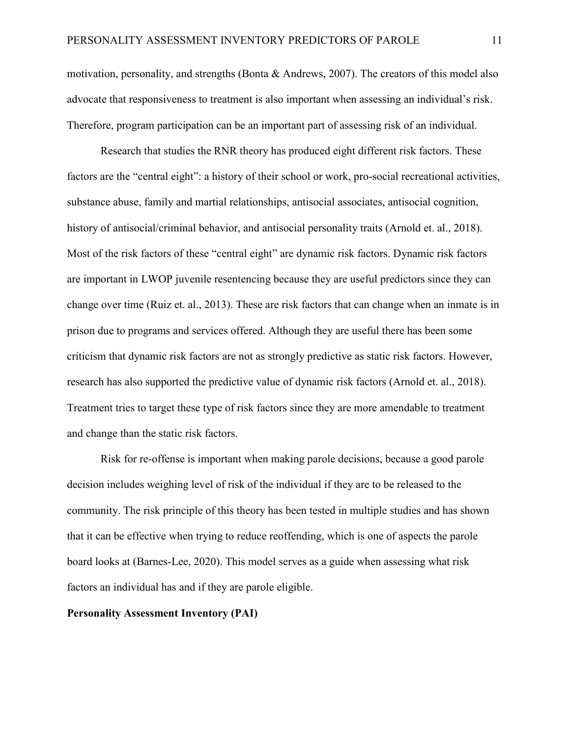motivation, personality, and strengths (Bonta & Andrews, 2007). The creators of this model also advocate that responsiveness to treatment is also important when assessing an individual's risk. Therefore, program participation can be an important part of assessing risk of an individual.

Research that studies the RNR theory has produced eight different risk factors. These factors are the "central eight": a history of their school or work, pro-social recreational activities, substance abuse, family and martial relationships, antisocial associates, antisocial cognition, history of antisocial/criminal behavior, and antisocial personality traits (Arnold et. al., 2018). Most of the risk factors of these "central eight" are dynamic risk factors. Dynamic risk factors are important in LWOP juvenile resentencing because they are useful predictors since they can change over time (Ruiz et. al., 2013). These are risk factors that can change when an inmate is in prison due to programs and services offered. Although they are useful there has been some criticism that dynamic risk factors are not as strongly predictive as static risk factors. However, research has also supported the predictive value of dynamic risk factors (Arnold et. al., 2018). Treatment tries to target these type of risk factors since they are more amendable to treatment and change than the static risk factors.

Risk for re-offense is important when making parole decisions, because a good parole decision includes weighing level of risk of the individual if they are to be released to the community. The risk principle of this theory has been tested in multiple studies and has shown that it can be effective when trying to reduce reoffending, which is one of aspects the parole board looks at (Barnes-Lee, 2020). This model serves as a guide when assessing what risk factors an individual has and if they are parole eligible.

#### **Personality Assessment Inventory (PAI)**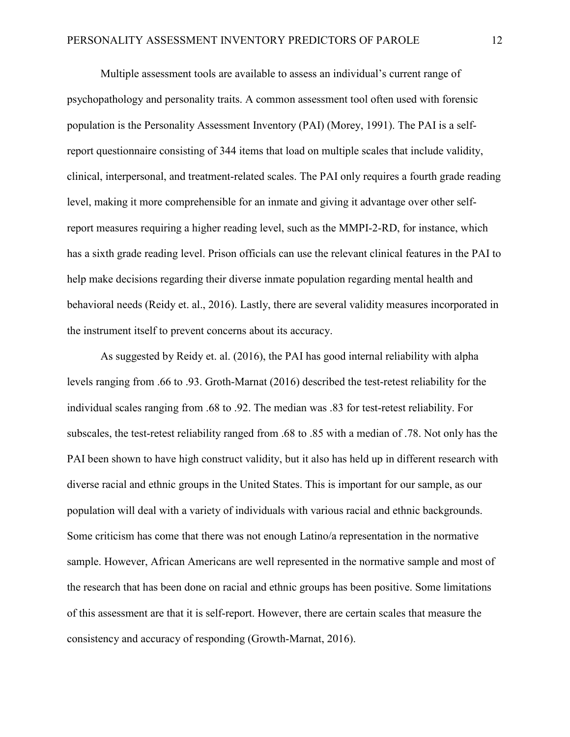Multiple assessment tools are available to assess an individual's current range of psychopathology and personality traits. A common assessment tool often used with forensic population is the Personality Assessment Inventory (PAI) (Morey, 1991). The PAI is a selfreport questionnaire consisting of 344 items that load on multiple scales that include validity, clinical, interpersonal, and treatment-related scales. The PAI only requires a fourth grade reading level, making it more comprehensible for an inmate and giving it advantage over other selfreport measures requiring a higher reading level, such as the MMPI-2-RD, for instance, which has a sixth grade reading level. Prison officials can use the relevant clinical features in the PAI to help make decisions regarding their diverse inmate population regarding mental health and behavioral needs (Reidy et. al., 2016). Lastly, there are several validity measures incorporated in the instrument itself to prevent concerns about its accuracy.

As suggested by Reidy et. al. (2016), the PAI has good internal reliability with alpha levels ranging from .66 to .93. Groth-Marnat (2016) described the test-retest reliability for the individual scales ranging from .68 to .92. The median was .83 for test-retest reliability. For subscales, the test-retest reliability ranged from .68 to .85 with a median of .78. Not only has the PAI been shown to have high construct validity, but it also has held up in different research with diverse racial and ethnic groups in the United States. This is important for our sample, as our population will deal with a variety of individuals with various racial and ethnic backgrounds. Some criticism has come that there was not enough Latino/a representation in the normative sample. However, African Americans are well represented in the normative sample and most of the research that has been done on racial and ethnic groups has been positive. Some limitations of this assessment are that it is self-report. However, there are certain scales that measure the consistency and accuracy of responding (Growth-Marnat, 2016).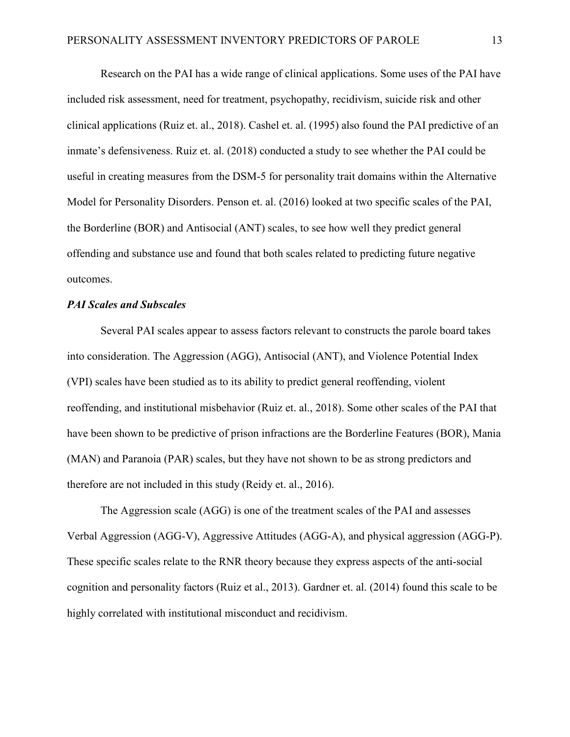Research on the PAI has a wide range of clinical applications. Some uses of the PAI have included risk assessment, need for treatment, psychopathy, recidivism, suicide risk and other clinical applications (Ruiz et. al., 2018). Cashel et. al. (1995) also found the PAI predictive of an inmate's defensiveness. Ruiz et. al. (2018) conducted a study to see whether the PAI could be useful in creating measures from the DSM-5 for personality trait domains within the Alternative Model for Personality Disorders. Penson et. al. (2016) looked at two specific scales of the PAI, the Borderline (BOR) and Antisocial (ANT) scales, to see how well they predict general offending and substance use and found that both scales related to predicting future negative outcomes.

#### *PAI Scales and Subscales*

Several PAI scales appear to assess factors relevant to constructs the parole board takes into consideration. The Aggression (AGG), Antisocial (ANT), and Violence Potential Index (VPI) scales have been studied as to its ability to predict general reoffending, violent reoffending, and institutional misbehavior (Ruiz et. al., 2018). Some other scales of the PAI that have been shown to be predictive of prison infractions are the Borderline Features (BOR), Mania (MAN) and Paranoia (PAR) scales, but they have not shown to be as strong predictors and therefore are not included in this study (Reidy et. al., 2016).

The Aggression scale (AGG) is one of the treatment scales of the PAI and assesses Verbal Aggression (AGG-V), Aggressive Attitudes (AGG-A), and physical aggression (AGG-P). These specific scales relate to the RNR theory because they express aspects of the anti-social cognition and personality factors (Ruiz et al., 2013). Gardner et. al. (2014) found this scale to be highly correlated with institutional misconduct and recidivism.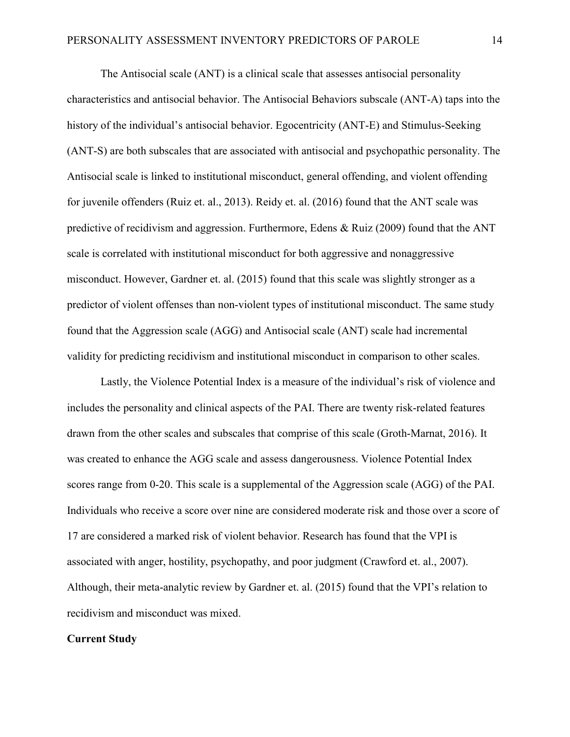The Antisocial scale (ANT) is a clinical scale that assesses antisocial personality characteristics and antisocial behavior. The Antisocial Behaviors subscale (ANT-A) taps into the history of the individual's antisocial behavior. Egocentricity (ANT-E) and Stimulus-Seeking (ANT-S) are both subscales that are associated with antisocial and psychopathic personality. The Antisocial scale is linked to institutional misconduct, general offending, and violent offending for juvenile offenders (Ruiz et. al., 2013). Reidy et. al. (2016) found that the ANT scale was predictive of recidivism and aggression. Furthermore, Edens & Ruiz (2009) found that the ANT scale is correlated with institutional misconduct for both aggressive and nonaggressive misconduct. However, Gardner et. al. (2015) found that this scale was slightly stronger as a predictor of violent offenses than non-violent types of institutional misconduct. The same study found that the Aggression scale (AGG) and Antisocial scale (ANT) scale had incremental validity for predicting recidivism and institutional misconduct in comparison to other scales.

Lastly, the Violence Potential Index is a measure of the individual's risk of violence and includes the personality and clinical aspects of the PAI. There are twenty risk-related features drawn from the other scales and subscales that comprise of this scale (Groth-Marnat, 2016). It was created to enhance the AGG scale and assess dangerousness. Violence Potential Index scores range from 0-20. This scale is a supplemental of the Aggression scale (AGG) of the PAI. Individuals who receive a score over nine are considered moderate risk and those over a score of 17 are considered a marked risk of violent behavior. Research has found that the VPI is associated with anger, hostility, psychopathy, and poor judgment (Crawford et. al., 2007). Although, their meta-analytic review by Gardner et. al. (2015) found that the VPI's relation to recidivism and misconduct was mixed.

#### **Current Study**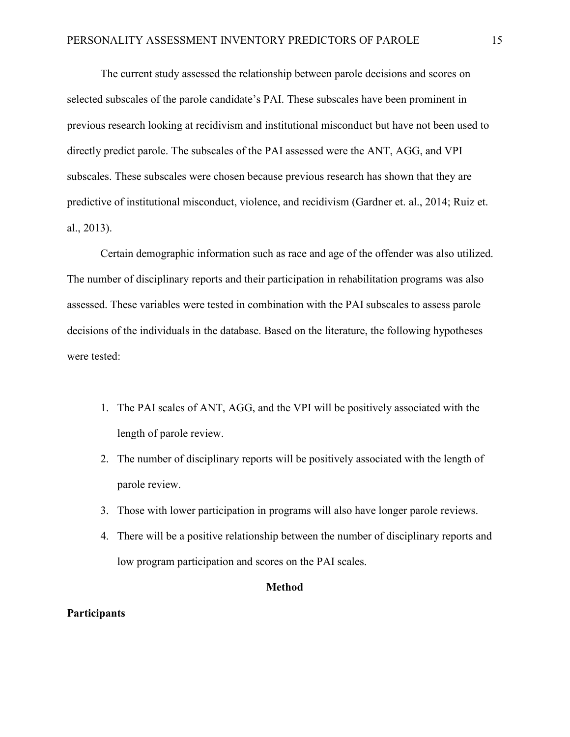The current study assessed the relationship between parole decisions and scores on selected subscales of the parole candidate's PAI. These subscales have been prominent in previous research looking at recidivism and institutional misconduct but have not been used to directly predict parole. The subscales of the PAI assessed were the ANT, AGG, and VPI subscales. These subscales were chosen because previous research has shown that they are predictive of institutional misconduct, violence, and recidivism (Gardner et. al., 2014; Ruiz et. al., 2013).

Certain demographic information such as race and age of the offender was also utilized. The number of disciplinary reports and their participation in rehabilitation programs was also assessed. These variables were tested in combination with the PAI subscales to assess parole decisions of the individuals in the database. Based on the literature, the following hypotheses were tested:

- 1. The PAI scales of ANT, AGG, and the VPI will be positively associated with the length of parole review.
- 2. The number of disciplinary reports will be positively associated with the length of parole review.
- 3. Those with lower participation in programs will also have longer parole reviews.
- 4. There will be a positive relationship between the number of disciplinary reports and low program participation and scores on the PAI scales.

#### **Method**

#### **Participants**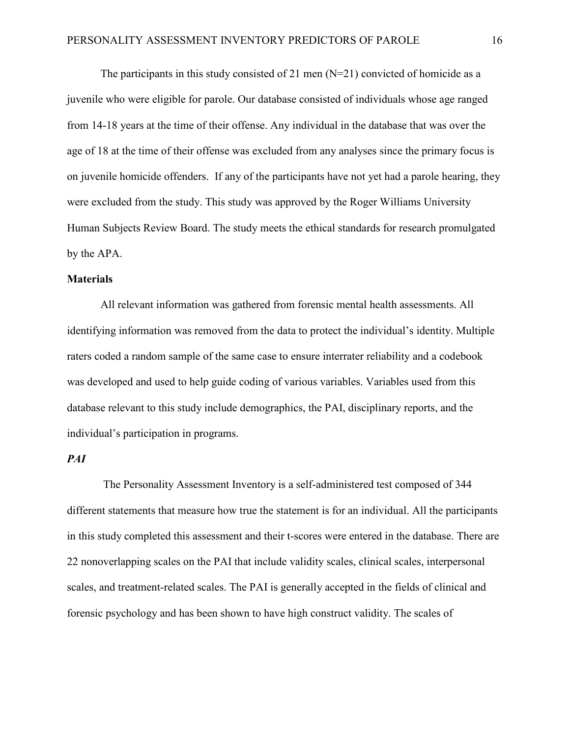The participants in this study consisted of 21 men  $(N=21)$  convicted of homicide as a juvenile who were eligible for parole. Our database consisted of individuals whose age ranged from 14-18 years at the time of their offense. Any individual in the database that was over the age of 18 at the time of their offense was excluded from any analyses since the primary focus is on juvenile homicide offenders. If any of the participants have not yet had a parole hearing, they were excluded from the study. This study was approved by the Roger Williams University Human Subjects Review Board. The study meets the ethical standards for research promulgated by the APA.

#### **Materials**

All relevant information was gathered from forensic mental health assessments. All identifying information was removed from the data to protect the individual's identity. Multiple raters coded a random sample of the same case to ensure interrater reliability and a codebook was developed and used to help guide coding of various variables. Variables used from this database relevant to this study include demographics, the PAI, disciplinary reports, and the individual's participation in programs.

#### *PAI*

The Personality Assessment Inventory is a self-administered test composed of 344 different statements that measure how true the statement is for an individual. All the participants in this study completed this assessment and their t-scores were entered in the database. There are 22 nonoverlapping scales on the PAI that include validity scales, clinical scales, interpersonal scales, and treatment-related scales. The PAI is generally accepted in the fields of clinical and forensic psychology and has been shown to have high construct validity. The scales of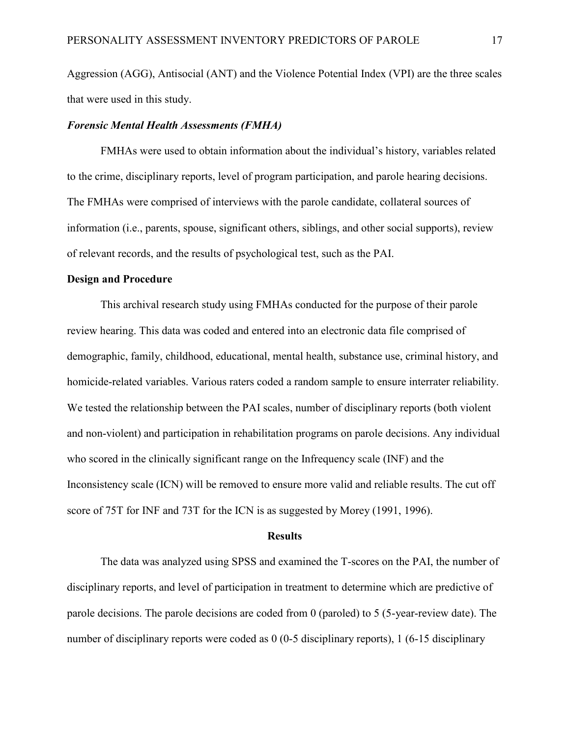Aggression (AGG), Antisocial (ANT) and the Violence Potential Index (VPI) are the three scales that were used in this study.

#### *Forensic Mental Health Assessments (FMHA)*

FMHAs were used to obtain information about the individual's history, variables related to the crime, disciplinary reports, level of program participation, and parole hearing decisions. The FMHAs were comprised of interviews with the parole candidate, collateral sources of information (i.e., parents, spouse, significant others, siblings, and other social supports), review of relevant records, and the results of psychological test, such as the PAI.

#### **Design and Procedure**

This archival research study using FMHAs conducted for the purpose of their parole review hearing. This data was coded and entered into an electronic data file comprised of demographic, family, childhood, educational, mental health, substance use, criminal history, and homicide-related variables. Various raters coded a random sample to ensure interrater reliability. We tested the relationship between the PAI scales, number of disciplinary reports (both violent and non-violent) and participation in rehabilitation programs on parole decisions. Any individual who scored in the clinically significant range on the Infrequency scale (INF) and the Inconsistency scale (ICN) will be removed to ensure more valid and reliable results. The cut off score of 75T for INF and 73T for the ICN is as suggested by Morey (1991, 1996).

#### **Results**

The data was analyzed using SPSS and examined the T-scores on the PAI, the number of disciplinary reports, and level of participation in treatment to determine which are predictive of parole decisions. The parole decisions are coded from 0 (paroled) to 5 (5-year-review date). The number of disciplinary reports were coded as 0 (0-5 disciplinary reports), 1 (6-15 disciplinary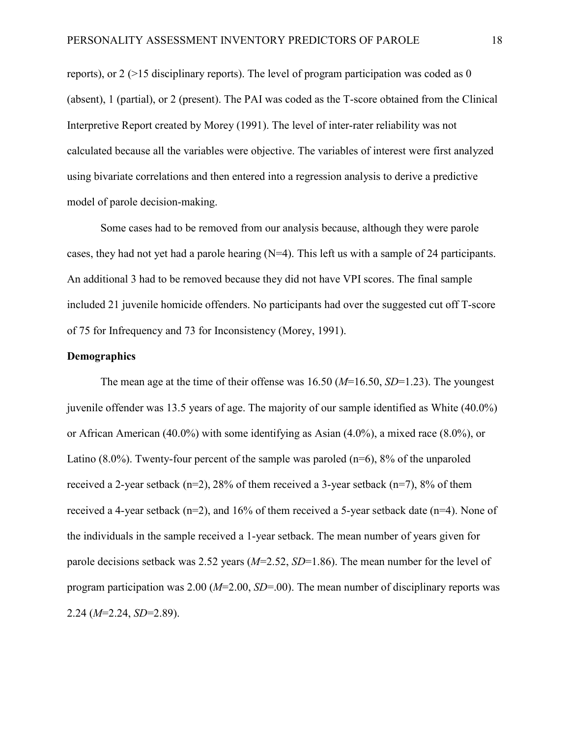reports), or  $2$  ( $>15$  disciplinary reports). The level of program participation was coded as 0 (absent), 1 (partial), or 2 (present). The PAI was coded as the T-score obtained from the Clinical Interpretive Report created by Morey (1991). The level of inter-rater reliability was not calculated because all the variables were objective. The variables of interest were first analyzed using bivariate correlations and then entered into a regression analysis to derive a predictive model of parole decision-making.

Some cases had to be removed from our analysis because, although they were parole cases, they had not yet had a parole hearing  $(N=4)$ . This left us with a sample of 24 participants. An additional 3 had to be removed because they did not have VPI scores. The final sample included 21 juvenile homicide offenders. No participants had over the suggested cut off T-score of 75 for Infrequency and 73 for Inconsistency (Morey, 1991).

#### **Demographics**

The mean age at the time of their offense was 16.50 (*M*=16.50, *SD*=1.23). The youngest juvenile offender was 13.5 years of age. The majority of our sample identified as White (40.0%) or African American (40.0%) with some identifying as Asian (4.0%), a mixed race (8.0%), or Latino  $(8.0\%)$ . Twenty-four percent of the sample was paroled  $(n=6)$ ,  $8\%$  of the unparoled received a 2-year setback (n=2), 28% of them received a 3-year setback (n=7), 8% of them received a 4-year setback (n=2), and 16% of them received a 5-year setback date (n=4). None of the individuals in the sample received a 1-year setback. The mean number of years given for parole decisions setback was 2.52 years (*M*=2.52, *SD*=1.86). The mean number for the level of program participation was 2.00 (*M*=2.00, *SD*=.00). The mean number of disciplinary reports was 2.24 (*M*=2.24, *SD*=2.89).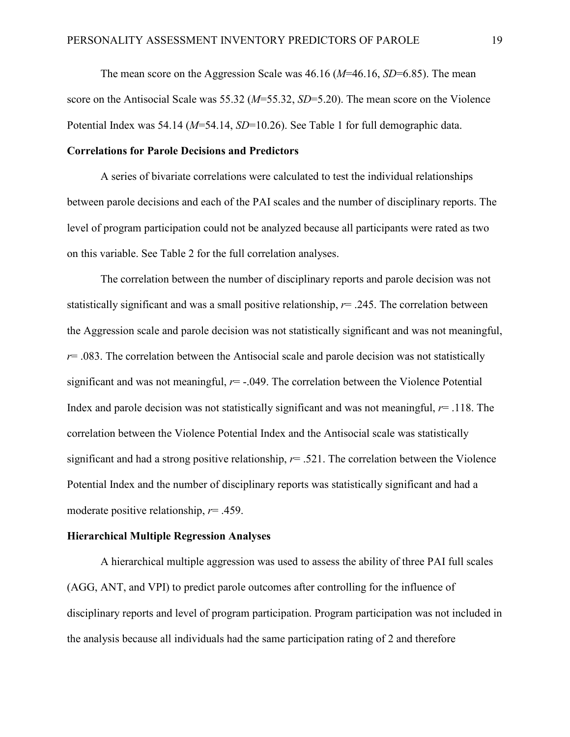The mean score on the Aggression Scale was 46.16 (*M*=46.16, *SD*=6.85). The mean score on the Antisocial Scale was 55.32 (*M*=55.32, *SD*=5.20). The mean score on the Violence Potential Index was 54.14 (*M*=54.14, *SD*=10.26). See Table 1 for full demographic data.

#### **Correlations for Parole Decisions and Predictors**

A series of bivariate correlations were calculated to test the individual relationships between parole decisions and each of the PAI scales and the number of disciplinary reports. The level of program participation could not be analyzed because all participants were rated as two on this variable. See Table 2 for the full correlation analyses.

The correlation between the number of disciplinary reports and parole decision was not statistically significant and was a small positive relationship, *r*= .245. The correlation between the Aggression scale and parole decision was not statistically significant and was not meaningful,  $r = .083$ . The correlation between the Antisocial scale and parole decision was not statistically significant and was not meaningful,  $r=$  -.049. The correlation between the Violence Potential Index and parole decision was not statistically significant and was not meaningful, *r*= .118. The correlation between the Violence Potential Index and the Antisocial scale was statistically significant and had a strong positive relationship, *r*= .521. The correlation between the Violence Potential Index and the number of disciplinary reports was statistically significant and had a moderate positive relationship, *r*= .459.

#### **Hierarchical Multiple Regression Analyses**

A hierarchical multiple aggression was used to assess the ability of three PAI full scales (AGG, ANT, and VPI) to predict parole outcomes after controlling for the influence of disciplinary reports and level of program participation. Program participation was not included in the analysis because all individuals had the same participation rating of 2 and therefore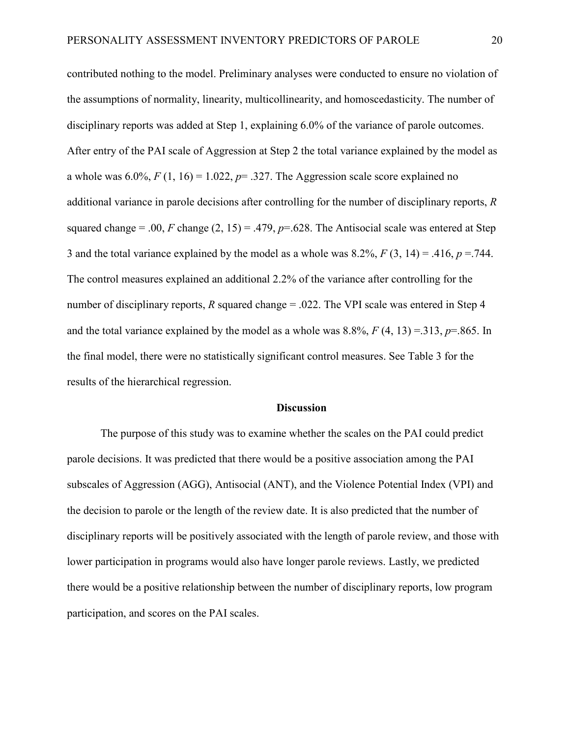contributed nothing to the model. Preliminary analyses were conducted to ensure no violation of the assumptions of normality, linearity, multicollinearity, and homoscedasticity. The number of disciplinary reports was added at Step 1, explaining 6.0% of the variance of parole outcomes. After entry of the PAI scale of Aggression at Step 2 the total variance explained by the model as a whole was  $6.0\%$ ,  $F(1, 16) = 1.022$ ,  $p = .327$ . The Aggression scale score explained no additional variance in parole decisions after controlling for the number of disciplinary reports, *R* squared change = .00, *F* change  $(2, 15) = .479$ ,  $p = .628$ . The Antisocial scale was entered at Step 3 and the total variance explained by the model as a whole was  $8.2\%$ ,  $F(3, 14) = .416$ ,  $p = .744$ . The control measures explained an additional 2.2% of the variance after controlling for the number of disciplinary reports, *R* squared change = .022. The VPI scale was entered in Step 4 and the total variance explained by the model as a whole was  $8.8\%$ ,  $F(4, 13) = 313$ ,  $p = .865$ . In the final model, there were no statistically significant control measures. See Table 3 for the results of the hierarchical regression.

#### **Discussion**

The purpose of this study was to examine whether the scales on the PAI could predict parole decisions. It was predicted that there would be a positive association among the PAI subscales of Aggression (AGG), Antisocial (ANT), and the Violence Potential Index (VPI) and the decision to parole or the length of the review date. It is also predicted that the number of disciplinary reports will be positively associated with the length of parole review, and those with lower participation in programs would also have longer parole reviews. Lastly, we predicted there would be a positive relationship between the number of disciplinary reports, low program participation, and scores on the PAI scales.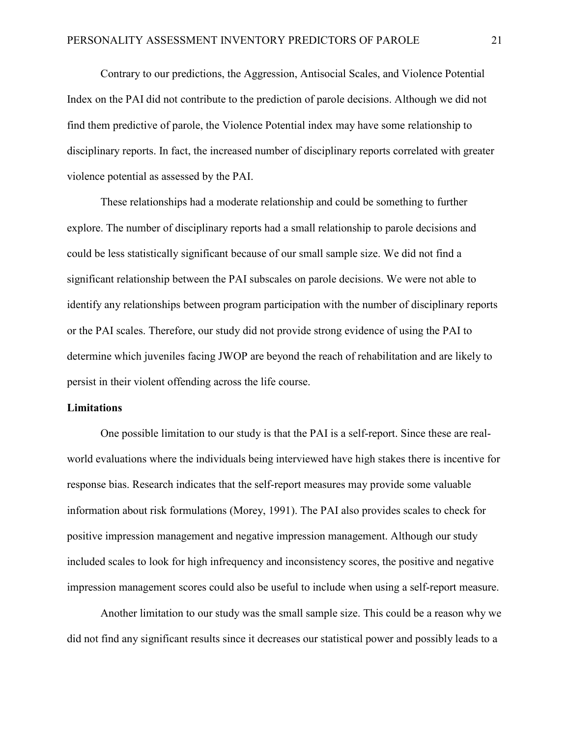Contrary to our predictions, the Aggression, Antisocial Scales, and Violence Potential Index on the PAI did not contribute to the prediction of parole decisions. Although we did not find them predictive of parole, the Violence Potential index may have some relationship to disciplinary reports. In fact, the increased number of disciplinary reports correlated with greater violence potential as assessed by the PAI.

These relationships had a moderate relationship and could be something to further explore. The number of disciplinary reports had a small relationship to parole decisions and could be less statistically significant because of our small sample size. We did not find a significant relationship between the PAI subscales on parole decisions. We were not able to identify any relationships between program participation with the number of disciplinary reports or the PAI scales. Therefore, our study did not provide strong evidence of using the PAI to determine which juveniles facing JWOP are beyond the reach of rehabilitation and are likely to persist in their violent offending across the life course.

#### **Limitations**

One possible limitation to our study is that the PAI is a self-report. Since these are realworld evaluations where the individuals being interviewed have high stakes there is incentive for response bias. Research indicates that the self-report measures may provide some valuable information about risk formulations (Morey, 1991). The PAI also provides scales to check for positive impression management and negative impression management. Although our study included scales to look for high infrequency and inconsistency scores, the positive and negative impression management scores could also be useful to include when using a self-report measure.

Another limitation to our study was the small sample size. This could be a reason why we did not find any significant results since it decreases our statistical power and possibly leads to a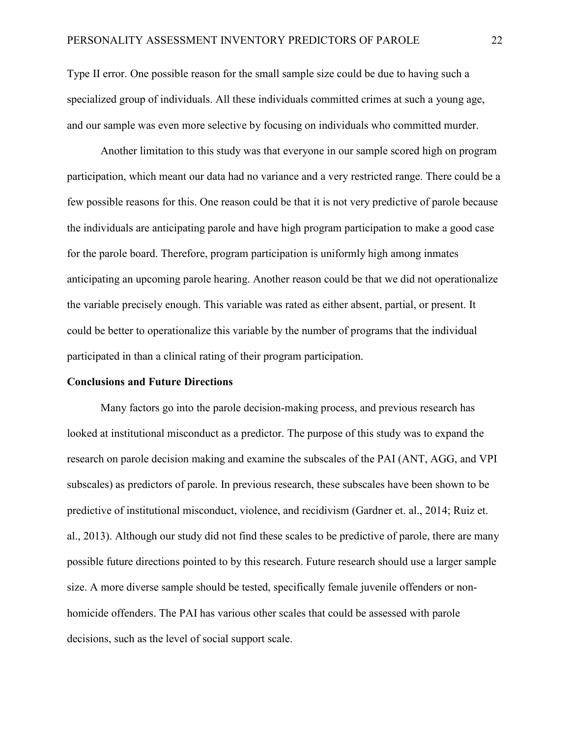Type II error. One possible reason for the small sample size could be due to having such a specialized group of individuals. All these individuals committed crimes at such a young age, and our sample was even more selective by focusing on individuals who committed murder.

Another limitation to this study was that everyone in our sample scored high on program participation, which meant our data had no variance and a very restricted range. There could be a few possible reasons for this. One reason could be that it is not very predictive of parole because the individuals are anticipating parole and have high program participation to make a good case for the parole board. Therefore, program participation is uniformly high among inmates anticipating an upcoming parole hearing. Another reason could be that we did not operationalize the variable precisely enough. This variable was rated as either absent, partial, or present. It could be better to operationalize this variable by the number of programs that the individual participated in than a clinical rating of their program participation.

#### **Conclusions and Future Directions**

Many factors go into the parole decision-making process, and previous research has looked at institutional misconduct as a predictor. The purpose of this study was to expand the research on parole decision making and examine the subscales of the PAI (ANT, AGG, and VPI subscales) as predictors of parole. In previous research, these subscales have been shown to be predictive of institutional misconduct, violence, and recidivism (Gardner et. al., 2014; Ruiz et. al., 2013). Although our study did not find these scales to be predictive of parole, there are many possible future directions pointed to by this research. Future research should use a larger sample size. A more diverse sample should be tested, specifically female juvenile offenders or nonhomicide offenders. The PAI has various other scales that could be assessed with parole decisions, such as the level of social support scale.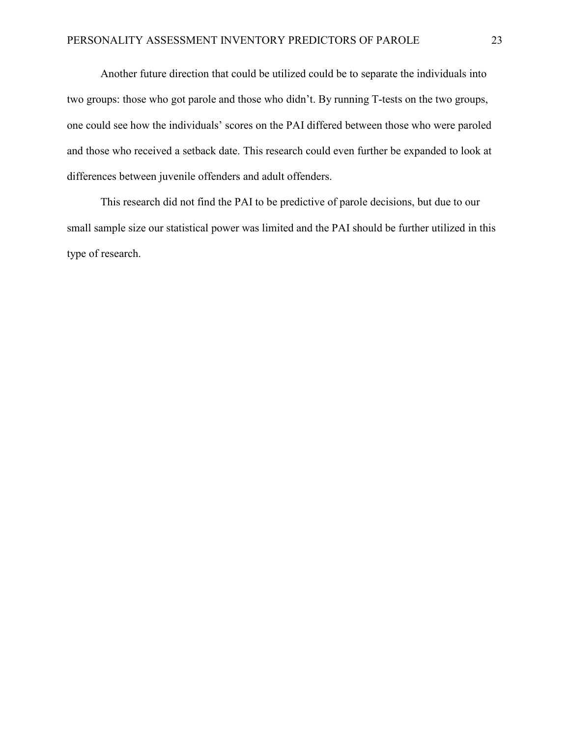Another future direction that could be utilized could be to separate the individuals into two groups: those who got parole and those who didn't. By running T-tests on the two groups, one could see how the individuals' scores on the PAI differed between those who were paroled and those who received a setback date. This research could even further be expanded to look at differences between juvenile offenders and adult offenders.

This research did not find the PAI to be predictive of parole decisions, but due to our small sample size our statistical power was limited and the PAI should be further utilized in this type of research.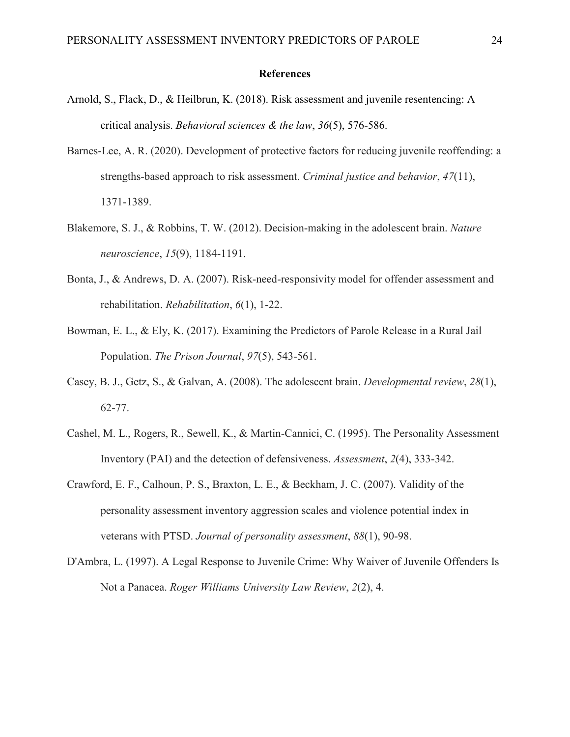#### **References**

- Arnold, S., Flack, D., & Heilbrun, K. (2018). Risk assessment and juvenile resentencing: A critical analysis. *Behavioral sciences & the law*, *36*(5), 576-586.
- Barnes-Lee, A. R. (2020). Development of protective factors for reducing juvenile reoffending: a strengths-based approach to risk assessment. *Criminal justice and behavior*, *47*(11), 1371-1389.
- Blakemore, S. J., & Robbins, T. W. (2012). Decision-making in the adolescent brain. *Nature neuroscience*, *15*(9), 1184-1191.
- Bonta, J., & Andrews, D. A. (2007). Risk-need-responsivity model for offender assessment and rehabilitation. *Rehabilitation*, *6*(1), 1-22.
- Bowman, E. L., & Ely, K. (2017). Examining the Predictors of Parole Release in a Rural Jail Population. *The Prison Journal*, *97*(5), 543-561.
- Casey, B. J., Getz, S., & Galvan, A. (2008). The adolescent brain. *Developmental review*, *28*(1), 62-77.
- Cashel, M. L., Rogers, R., Sewell, K., & Martin-Cannici, C. (1995). The Personality Assessment Inventory (PAI) and the detection of defensiveness. *Assessment*, *2*(4), 333-342.
- Crawford, E. F., Calhoun, P. S., Braxton, L. E., & Beckham, J. C. (2007). Validity of the personality assessment inventory aggression scales and violence potential index in veterans with PTSD. *Journal of personality assessment*, *88*(1), 90-98.
- D'Ambra, L. (1997). A Legal Response to Juvenile Crime: Why Waiver of Juvenile Offenders Is Not a Panacea. *Roger Williams University Law Review*, *2*(2), 4.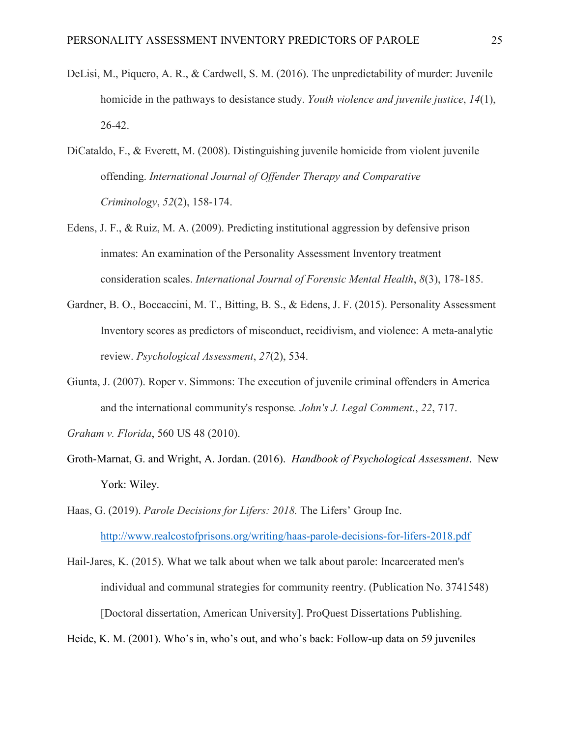- DeLisi, M., Piquero, A. R., & Cardwell, S. M. (2016). The unpredictability of murder: Juvenile homicide in the pathways to desistance study. *Youth violence and juvenile justice*, *14*(1), 26-42.
- DiCataldo, F., & Everett, M. (2008). Distinguishing juvenile homicide from violent juvenile offending. *International Journal of Offender Therapy and Comparative Criminology*, *52*(2), 158-174.
- Edens, J. F., & Ruiz, M. A. (2009). Predicting institutional aggression by defensive prison inmates: An examination of the Personality Assessment Inventory treatment consideration scales. *International Journal of Forensic Mental Health*, *8*(3), 178-185.
- Gardner, B. O., Boccaccini, M. T., Bitting, B. S., & Edens, J. F. (2015). Personality Assessment Inventory scores as predictors of misconduct, recidivism, and violence: A meta-analytic review. *Psychological Assessment*, *27*(2), 534.
- Giunta, J. (2007). Roper v. Simmons: The execution of juvenile criminal offenders in America and the international community's response*. John's J. Legal Comment.*, *22*, 717.

*Graham v. Florida*, 560 US 48 (2010).

Groth-Marnat, G. and Wright, A. Jordan. (2016). *Handbook of Psychological Assessment*. New York: Wiley.

Haas, G. (2019). *Parole Decisions for Lifers: 2018.* The Lifers' Group Inc. <http://www.realcostofprisons.org/writing/haas-parole-decisions-for-lifers-2018.pdf>

Hail-Jares, K. (2015). What we talk about when we talk about parole: Incarcerated men's individual and communal strategies for community reentry. (Publication No. 3741548) [Doctoral dissertation, American University]. ProQuest Dissertations Publishing.

Heide, K. M. (2001). Who's in, who's out, and who's back: Follow-up data on 59 juveniles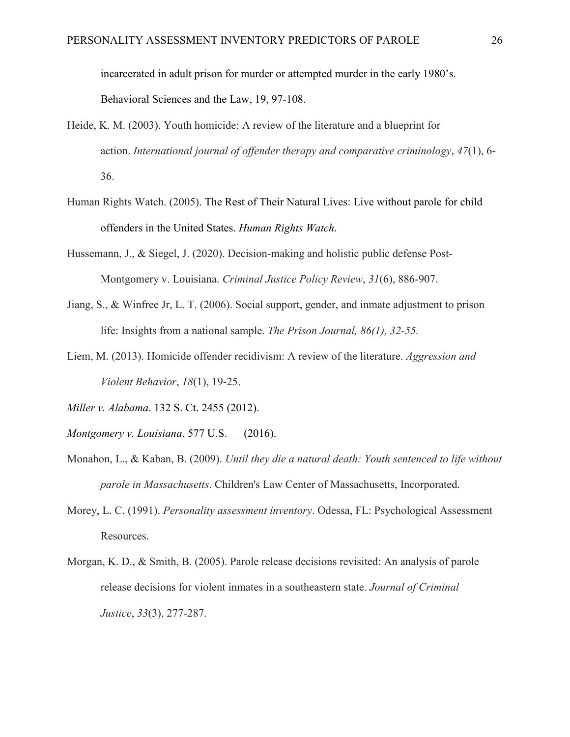incarcerated in adult prison for murder or attempted murder in the early 1980's.

Behavioral Sciences and the Law, 19, 97-108.

- Heide, K. M. (2003). Youth homicide: A review of the literature and a blueprint for action. *International journal of offender therapy and comparative criminology*, *47*(1), 6- 36.
- Human Rights Watch. (2005). The Rest of Their Natural Lives: Live without parole for child offenders in the United States. *Human Rights Watch*.
- Hussemann, J., & Siegel, J. (2020). Decision-making and holistic public defense Post-Montgomery v. Louisiana. *Criminal Justice Policy Review*, *31*(6), 886-907.
- Jiang, S., & Winfree Jr, L. T. (2006). Social support, gender, and inmate adjustment to prison life: Insights from a national sample. *The Prison Journal, 86(1), 32-55.*
- Liem, M. (2013). Homicide offender recidivism: A review of the literature. *Aggression and Violent Behavior*, *18*(1), 19-25.
- *Miller v. Alabama*. 132 S. Ct. 2455 (2012).
- *Montgomery v. Louisiana*. 577 U.S. \_\_ (2016).
- Monahon, L., & Kaban, B. (2009). *Until they die a natural death: Youth sentenced to life without parole in Massachusetts*. Children's Law Center of Massachusetts, Incorporated.
- Morey, L. C. (1991). *Personality assessment inventory*. Odessa, FL: Psychological Assessment Resources.
- Morgan, K. D., & Smith, B. (2005). Parole release decisions revisited: An analysis of parole release decisions for violent inmates in a southeastern state. *Journal of Criminal Justice*, *33*(3), 277-287.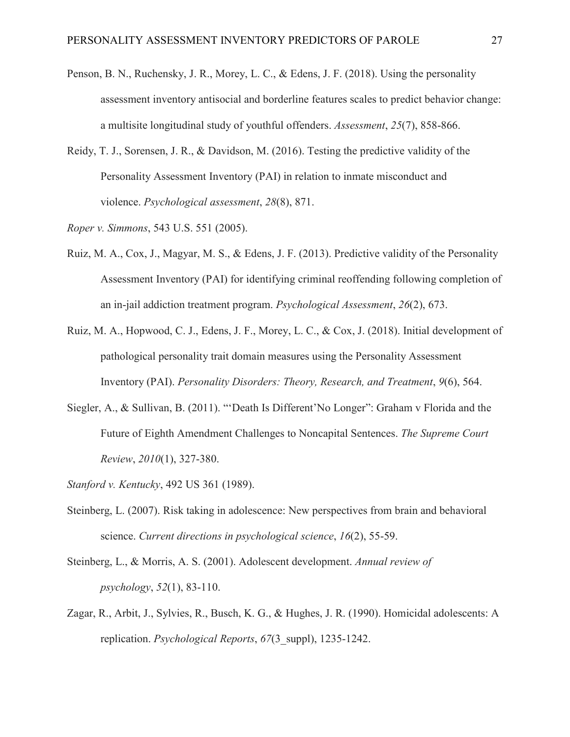- Penson, B. N., Ruchensky, J. R., Morey, L. C., & Edens, J. F. (2018). Using the personality assessment inventory antisocial and borderline features scales to predict behavior change: a multisite longitudinal study of youthful offenders. *Assessment*, *25*(7), 858-866.
- Reidy, T. J., Sorensen, J. R., & Davidson, M. (2016). Testing the predictive validity of the Personality Assessment Inventory (PAI) in relation to inmate misconduct and violence. *Psychological assessment*, *28*(8), 871.
- *Roper v. Simmons*, 543 U.S. 551 (2005).
- Ruiz, M. A., Cox, J., Magyar, M. S., & Edens, J. F. (2013). Predictive validity of the Personality Assessment Inventory (PAI) for identifying criminal reoffending following completion of an in-jail addiction treatment program. *Psychological Assessment*, *26*(2), 673.
- Ruiz, M. A., Hopwood, C. J., Edens, J. F., Morey, L. C., & Cox, J. (2018). Initial development of pathological personality trait domain measures using the Personality Assessment Inventory (PAI). *Personality Disorders: Theory, Research, and Treatment*, *9*(6), 564.
- Siegler, A., & Sullivan, B. (2011). "'Death Is Different'No Longer": Graham v Florida and the Future of Eighth Amendment Challenges to Noncapital Sentences. *The Supreme Court Review*, *2010*(1), 327-380.
- *Stanford v. Kentucky*, 492 US 361 (1989).
- Steinberg, L. (2007). Risk taking in adolescence: New perspectives from brain and behavioral science. *Current directions in psychological science*, *16*(2), 55-59.
- Steinberg, L., & Morris, A. S. (2001). Adolescent development. *Annual review of psychology*, *52*(1), 83-110.
- Zagar, R., Arbit, J., Sylvies, R., Busch, K. G., & Hughes, J. R. (1990). Homicidal adolescents: A replication. *Psychological Reports*, *67*(3\_suppl), 1235-1242.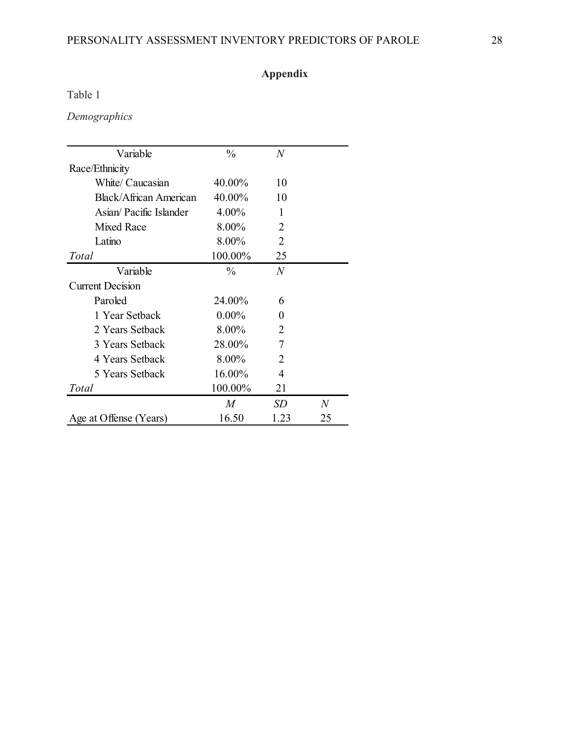## PERSONALITY ASSESSMENT INVENTORY PREDICTORS OF PAROLE 28

## **Appendix**

Table 1

## *Demographics*

| Variable                | $\frac{0}{0}$ | $\overline{N}$ |    |
|-------------------------|---------------|----------------|----|
| Race/Ethnicity          |               |                |    |
| White/ Caucasian        | 40.00%        | 10             |    |
| Black/African American  | 40.00%        | 10             |    |
| Asian/ Pacific Islander | 4.00%         | 1              |    |
| <b>Mixed Race</b>       | 8.00%         | $\mathfrak{D}$ |    |
| Latino                  | 8.00%         | 2              |    |
| Total                   | 100.00%       | 25             |    |
| Variable                | $\%$          | $\overline{N}$ |    |
| <b>Current Decision</b> |               |                |    |
| Paroled                 | 24.00%        | 6              |    |
| 1 Year Setback          | $0.00\%$      | $\mathbf{0}$   |    |
| 2 Years Setback         | 8.00%         | 2              |    |
| 3 Years Setback         | 28.00%        | $\overline{7}$ |    |
| 4 Years Setback         | 8.00%         | $\overline{2}$ |    |
| 5 Years Setback         | 16.00%        | 4              |    |
| Total                   | 100.00%       | 21             |    |
|                         | M             | <i>SD</i>      | N  |
| Age at Offense (Years)  | 16.50         | 1.23           | 25 |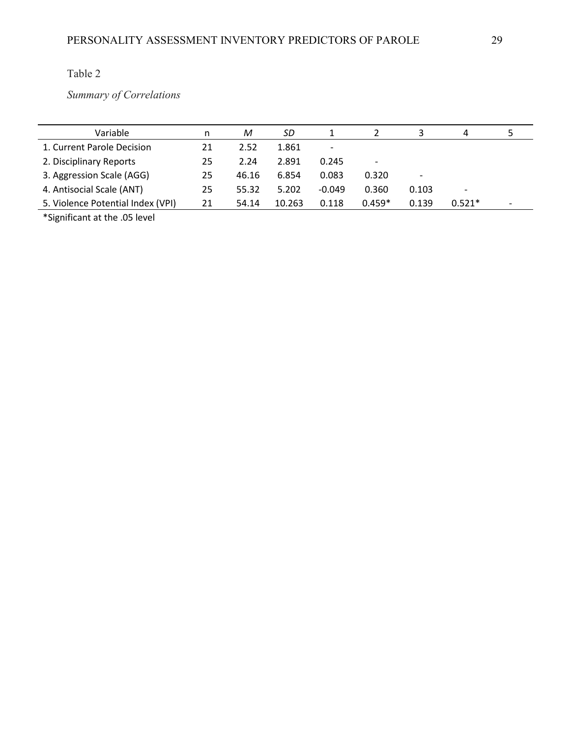*Summary of Correlations* 

| Variable                          | n  | M     | SD     |          |          |       | 4                        |  |
|-----------------------------------|----|-------|--------|----------|----------|-------|--------------------------|--|
| 1. Current Parole Decision        | 21 | 2.52  | 1.861  | -        |          |       |                          |  |
| 2. Disciplinary Reports           | 25 | 2.24  | 2.891  | 0.245    |          |       |                          |  |
| 3. Aggression Scale (AGG)         | 25 | 46.16 | 6.854  | 0.083    | 0.320    |       |                          |  |
| 4. Antisocial Scale (ANT)         | 25 | 55.32 | 5.202  | $-0.049$ | 0.360    | 0.103 | $\overline{\phantom{a}}$ |  |
| 5. Violence Potential Index (VPI) | 21 | 54.14 | 10.263 | 0.118    | $0.459*$ | 0.139 | $0.521*$                 |  |

\*Significant at the .05 level